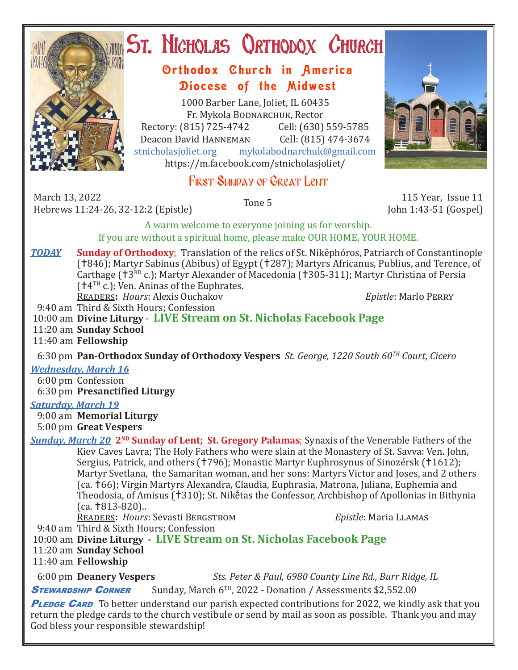

# ST. NICHOLAS QRTHODOX CHURCH

## Orthodox Church in America Diocese of the Midwest

1000 Barber Lane, Joliet, IL 60435 Fr. Mykola Bodnarchuk, Rector Rectory: (815) 725-4742 Cell: (630) 559-5785<br>Deacon David HANNEMAN Cell: (815) 474-3674 Deacon David Hanneman<br>stnicholasioliet.org mykola mykolabodnarchuk@gmail.com https://m.facebook.com/stnicholasjoliet/

# FIRST SUNDAY OF GREAT LENT

March 13, 2022 March 13, 2022 115 Year, Issue 11<br>
Hebrews 11:24-26. 32-12:2 (Epistle) Tone 5 11:24-26. 22-12:2 (Epistle)

John 1:43-51 (Gospel)

A warm welcome to everyone joining us for worship. If you are without a spiritual home, please make OUR HOME, YOUR HOME.

*TODAY* **Sunday of Orthodoxy**; Translation of the relics of St. Nikēphóros, Patriarch of Constantinople (†846); Martyr Sabinus (Abibus) of Egypt (†287); Martyrs Africanus, Publius, and Terence, of Carthage ( $\pm 3^{RD}$  c.); Martyr Alexander of Macedonia ( $\pm 305$ -311); Martyr Christina of Persia  $(†4^{\text{TH}})$  c.); Ven. Aninas of the Euphrates.

Readers**:** *Hours*: Alexis Ouchakov *Epistle*: Marlo Perry

9:40 am Third & Sixth Hours; Confession

10:00 am **Divine Liturgy** - **LIVE Stream on St. Nicholas Facebook Page**

11:20 am **Sunday School**

11:40 am **Fellowship**

6:30 pm **Pan-Orthodox Sunday of Orthodoxy Vespers** *St. George, 1220 South 60TH Court, Cicero*

*Wednesday, March 16* 

 6:00 pm Confession 6:30 pm **Presanctified Liturgy**

### *Saturday, March 19*

 9:00 am **Memorial Liturgy** 5:00 pm **Great Vespers**

*Sunday, March 20* **2<sup>ND</sup> Sunday of Lent; St. Gregory Palamas**; Synaxis of the Venerable Fathers of the Kiev Caves Lavra; The Holy Fathers who were slain at the Monastery of St. Savva: Ven. John, Sergius, Patrick, and others († 796); Monastic Martyr Euphrosynus of Sinozérsk († 1612); Martyr Svetlana, the Samaritan woman, and her sons: Martyrs Victor and Joses, and 2 others (ca. 66); Virgin Martyrs Alexandra, Claudia, Euphrasia, Matrona, Juliana, Euphemia and Theodosia, of Amisus (†310); St. Nikḗtas the Confessor, Archbishop of Apollonias in Bithynia  $(ca. † 813-820)$ ..

Readers**:** *Hours*: Sevasti Bergstrom *Epistle*: Maria Llamas

9:40 am Third & Sixth Hours; Confession

10:00 am **Divine Liturgy - LIVE Stream on St. Nicholas Facebook Page**

11:20 am **Sunday School**

11:40 am **Fellowship**

6:00 pm **Deanery Vespers** *Sts. Peter & Paul, 6980 County Line Rd., Burr Ridge, IL*

**STEWARDSHIP CORNER** Sunday, March 6<sup>TH</sup>, 2022 - Donation / Assessments \$2,552.00

**PLEDGE CARD** To better understand our parish expected contributions for 2022, we kindly ask that you return the pledge cards to the church vestibule or send by mail as soon as possible. Thank you and may God bless your responsible stewardship!